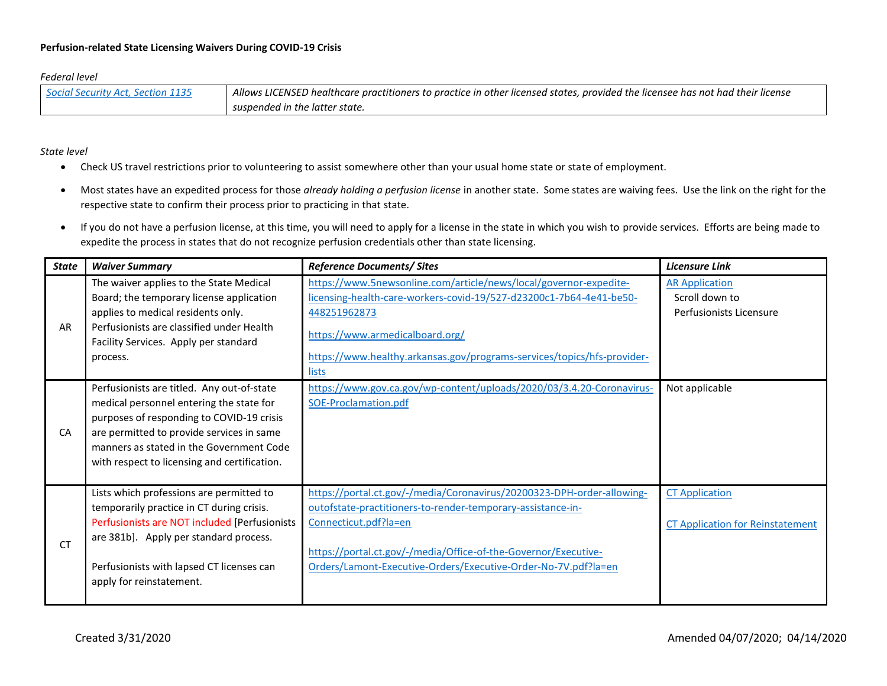## *Federal level*

| Social Security Act. Section 1135 | Allows LICENSED healthcare practitioners to practice in other licensed states, provided the licensee has not had their license |
|-----------------------------------|--------------------------------------------------------------------------------------------------------------------------------|
|                                   | suspended in the latter state.                                                                                                 |

*State level*

- Check US travel restrictions prior to volunteering to assist somewhere other than your usual home state or state of employment.
- Most states have an expedited process for those *already holding a perfusion license* in another state. Some states are waiving fees. Use the link on the right for the respective state to confirm their process prior to practicing in that state.
- If you do not have a perfusion license, at this time, you will need to apply for a license in the state in which you wish to provide services. Efforts are being made to expedite the process in states that do not recognize perfusion credentials other than state licensing.

| <b>State</b> | <b>Waiver Summary</b>                                                                                                                                                                                                                                                        | <b>Reference Documents/ Sites</b>                                                                                                                                                                                                                                                                   | <b>Licensure Link</b>                                              |
|--------------|------------------------------------------------------------------------------------------------------------------------------------------------------------------------------------------------------------------------------------------------------------------------------|-----------------------------------------------------------------------------------------------------------------------------------------------------------------------------------------------------------------------------------------------------------------------------------------------------|--------------------------------------------------------------------|
| <b>AR</b>    | The waiver applies to the State Medical<br>Board; the temporary license application<br>applies to medical residents only.<br>Perfusionists are classified under Health<br>Facility Services. Apply per standard<br>process.                                                  | https://www.5newsonline.com/article/news/local/governor-expedite-<br>licensing-health-care-workers-covid-19/527-d23200c1-7b64-4e41-be50-<br>448251962873<br>https://www.armedicalboard.org/<br>https://www.healthy.arkansas.gov/programs-services/topics/hfs-provider-<br>lists                     | <b>AR Application</b><br>Scroll down to<br>Perfusionists Licensure |
| <b>CA</b>    | Perfusionists are titled. Any out-of-state<br>medical personnel entering the state for<br>purposes of responding to COVID-19 crisis<br>are permitted to provide services in same<br>manners as stated in the Government Code<br>with respect to licensing and certification. | https://www.gov.ca.gov/wp-content/uploads/2020/03/3.4.20-Coronavirus-<br>SOE-Proclamation.pdf                                                                                                                                                                                                       | Not applicable                                                     |
| <b>CT</b>    | Lists which professions are permitted to<br>temporarily practice in CT during crisis.<br>Perfusionists are NOT included [Perfusionists<br>are 381b]. Apply per standard process.<br>Perfusionists with lapsed CT licenses can<br>apply for reinstatement.                    | https://portal.ct.gov/-/media/Coronavirus/20200323-DPH-order-allowing-<br>outofstate-practitioners-to-render-temporary-assistance-in-<br>Connecticut.pdf?la=en<br>https://portal.ct.gov/-/media/Office-of-the-Governor/Executive-<br>Orders/Lamont-Executive-Orders/Executive-Order-No-7V.pdf?la=en | <b>CT Application</b><br><b>CT Application for Reinstatement</b>   |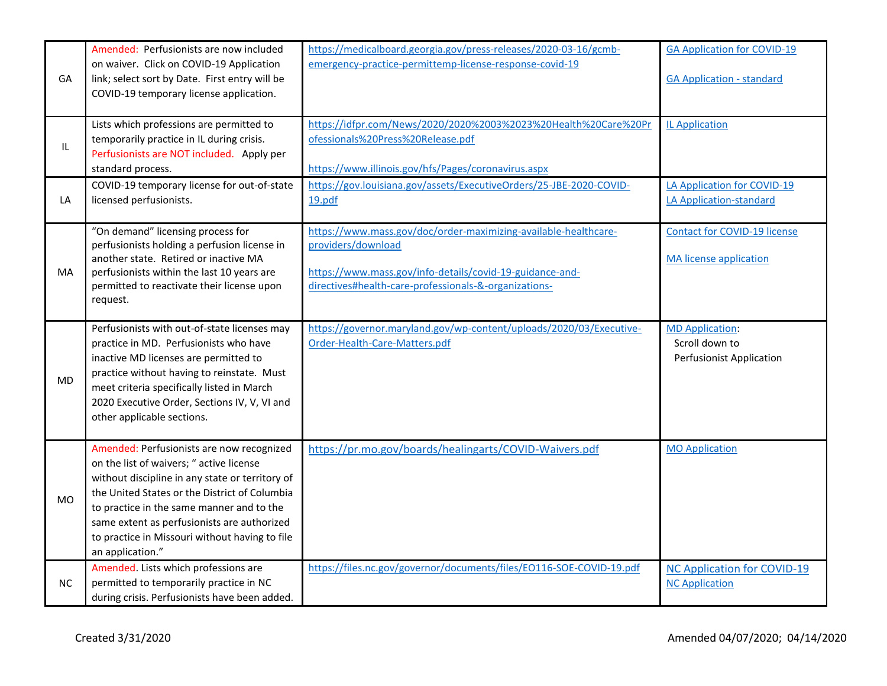| GA        | Amended: Perfusionists are now included<br>on waiver. Click on COVID-19 Application<br>link; select sort by Date. First entry will be<br>COVID-19 temporary license application.                                                                                                                                                                            | https://medicalboard.georgia.gov/press-releases/2020-03-16/gcmb-<br>emergency-practice-permittemp-license-response-covid-19                                                                                | <b>GA Application for COVID-19</b><br><b>GA Application - standard</b>      |
|-----------|-------------------------------------------------------------------------------------------------------------------------------------------------------------------------------------------------------------------------------------------------------------------------------------------------------------------------------------------------------------|------------------------------------------------------------------------------------------------------------------------------------------------------------------------------------------------------------|-----------------------------------------------------------------------------|
| IL        | Lists which professions are permitted to<br>temporarily practice in IL during crisis.<br>Perfusionists are NOT included. Apply per<br>standard process.                                                                                                                                                                                                     | https://idfpr.com/News/2020/2020%2003%2023%20Health%20Care%20Pr<br>ofessionals%20Press%20Release.pdf<br>https://www.illinois.gov/hfs/Pages/coronavirus.aspx                                                | <b>IL Application</b>                                                       |
| LA        | COVID-19 temporary license for out-of-state<br>licensed perfusionists.                                                                                                                                                                                                                                                                                      | https://gov.louisiana.gov/assets/ExecutiveOrders/25-JBE-2020-COVID-<br>19.pdf                                                                                                                              | LA Application for COVID-19<br>LA Application-standard                      |
| MA        | "On demand" licensing process for<br>perfusionists holding a perfusion license in<br>another state. Retired or inactive MA<br>perfusionists within the last 10 years are<br>permitted to reactivate their license upon<br>request.                                                                                                                          | https://www.mass.gov/doc/order-maximizing-available-healthcare-<br>providers/download<br>https://www.mass.gov/info-details/covid-19-guidance-and-<br>directives#health-care-professionals-&-organizations- | <b>Contact for COVID-19 license</b><br>MA license application               |
| <b>MD</b> | Perfusionists with out-of-state licenses may<br>practice in MD. Perfusionists who have<br>inactive MD licenses are permitted to<br>practice without having to reinstate. Must<br>meet criteria specifically listed in March<br>2020 Executive Order, Sections IV, V, VI and<br>other applicable sections.                                                   | https://governor.maryland.gov/wp-content/uploads/2020/03/Executive-<br>Order-Health-Care-Matters.pdf                                                                                                       | <b>MD Application:</b><br>Scroll down to<br><b>Perfusionist Application</b> |
| <b>MO</b> | Amended: Perfusionists are now recognized<br>on the list of waivers; " active license<br>without discipline in any state or territory of<br>the United States or the District of Columbia<br>to practice in the same manner and to the<br>same extent as perfusionists are authorized<br>to practice in Missouri without having to file<br>an application." | https://pr.mo.gov/boards/healingarts/COVID-Waivers.pdf                                                                                                                                                     | <b>MO Application</b>                                                       |
| <b>NC</b> | Amended. Lists which professions are<br>permitted to temporarily practice in NC<br>during crisis. Perfusionists have been added.                                                                                                                                                                                                                            | https://files.nc.gov/governor/documents/files/EO116-SOE-COVID-19.pdf                                                                                                                                       | <b>NC Application for COVID-19</b><br><b>NC Application</b>                 |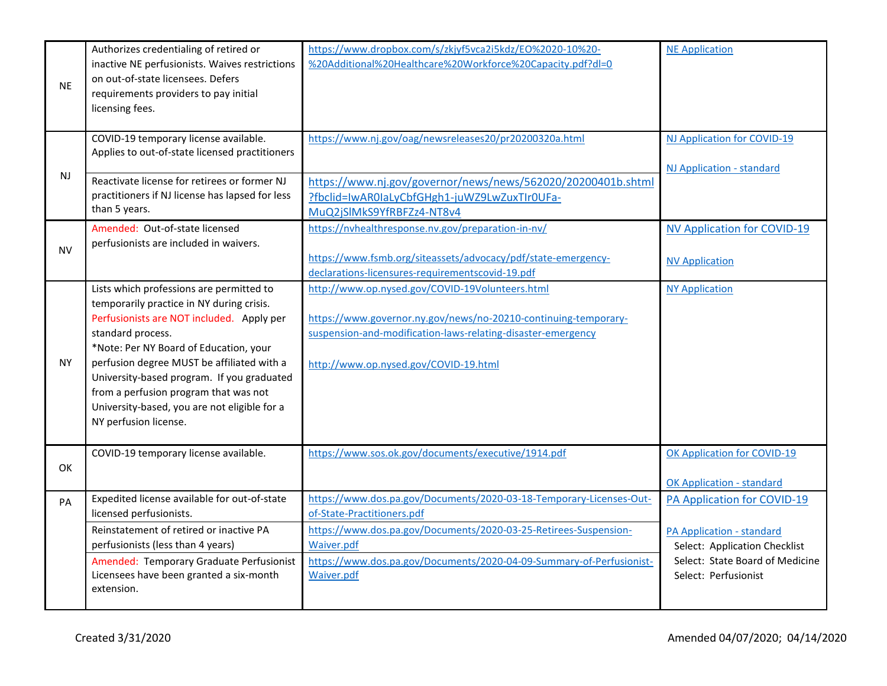| <b>NE</b> | Authorizes credentialing of retired or<br>inactive NE perfusionists. Waives restrictions<br>on out-of-state licensees. Defers<br>requirements providers to pay initial<br>licensing fees.                                                                                                                                                                                                                       | https://www.dropbox.com/s/zkjyf5vca2i5kdz/EO%2020-10%20-<br>%20Additional%20Healthcare%20Workforce%20Capacity.pdf?dl=0                                                                                                      | <b>NE Application</b>                                             |
|-----------|-----------------------------------------------------------------------------------------------------------------------------------------------------------------------------------------------------------------------------------------------------------------------------------------------------------------------------------------------------------------------------------------------------------------|-----------------------------------------------------------------------------------------------------------------------------------------------------------------------------------------------------------------------------|-------------------------------------------------------------------|
|           | COVID-19 temporary license available.<br>Applies to out-of-state licensed practitioners                                                                                                                                                                                                                                                                                                                         | https://www.nj.gov/oag/newsreleases20/pr20200320a.html                                                                                                                                                                      | NJ Application for COVID-19<br>NJ Application - standard          |
| NJ        | Reactivate license for retirees or former NJ<br>practitioners if NJ license has lapsed for less<br>than 5 years.                                                                                                                                                                                                                                                                                                | https://www.nj.gov/governor/news/news/562020/20200401b.shtml<br>?fbclid=IwAR0IaLyCbfGHgh1-juWZ9LwZuxTIr0UFa-<br>MuQ2jSlMkS9YfRBFZz4-NT8v4                                                                                   |                                                                   |
| <b>NV</b> | Amended: Out-of-state licensed<br>perfusionists are included in waivers.                                                                                                                                                                                                                                                                                                                                        | https://nvhealthresponse.nv.gov/preparation-in-nv/<br>https://www.fsmb.org/siteassets/advocacy/pdf/state-emergency-<br>declarations-licensures-requirementscovid-19.pdf                                                     | <b>NV Application for COVID-19</b><br><b>NV Application</b>       |
| <b>NY</b> | Lists which professions are permitted to<br>temporarily practice in NY during crisis.<br>Perfusionists are NOT included. Apply per<br>standard process.<br>*Note: Per NY Board of Education, your<br>perfusion degree MUST be affiliated with a<br>University-based program. If you graduated<br>from a perfusion program that was not<br>University-based, you are not eligible for a<br>NY perfusion license. | http://www.op.nysed.gov/COVID-19Volunteers.html<br>https://www.governor.ny.gov/news/no-20210-continuing-temporary-<br>suspension-and-modification-laws-relating-disaster-emergency<br>http://www.op.nysed.gov/COVID-19.html | <b>NY Application</b>                                             |
| <b>OK</b> | COVID-19 temporary license available.                                                                                                                                                                                                                                                                                                                                                                           | https://www.sos.ok.gov/documents/executive/1914.pdf                                                                                                                                                                         | OK Application for COVID-19<br><b>OK Application - standard</b>   |
| PA        | Expedited license available for out-of-state<br>licensed perfusionists.                                                                                                                                                                                                                                                                                                                                         | https://www.dos.pa.gov/Documents/2020-03-18-Temporary-Licenses-Out-<br>of-State-Practitioners.pdf                                                                                                                           | PA Application for COVID-19                                       |
|           | Reinstatement of retired or inactive PA<br>perfusionists (less than 4 years)                                                                                                                                                                                                                                                                                                                                    | https://www.dos.pa.gov/Documents/2020-03-25-Retirees-Suspension-<br>Waiver.pdf                                                                                                                                              | <b>PA Application - standard</b><br>Select: Application Checklist |
|           | Amended: Temporary Graduate Perfusionist<br>Licensees have been granted a six-month<br>extension.                                                                                                                                                                                                                                                                                                               | https://www.dos.pa.gov/Documents/2020-04-09-Summary-of-Perfusionist-<br>Waiver.pdf                                                                                                                                          | Select: State Board of Medicine<br>Select: Perfusionist           |